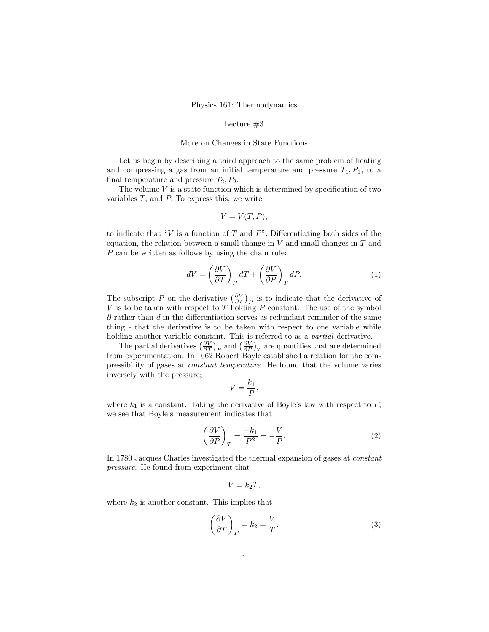## Physics 161: Thermodynamics

#### Lecture  $#3$

#### More on Changes in State Functions

Let us begin by describing a third approach to the same problem of heating and compressing a gas from an initial temperature and pressure  $T_1, P_1$ , to a final temperature and pressure  $T_2, P_2$ .

The volume  $V$  is a state function which is determined by specification of two variables  $T$ , and  $P$ . To express this, we write

$$
V = V(T, P),
$$

to indicate that "V is a function of T and P". Differentiating both sides of the equation, the relation between a small change in  $V$  and small changes in  $T$  and P can be written as follows by using the chain rule:

$$
dV = \left(\frac{\partial V}{\partial T}\right)_P dT + \left(\frac{\partial V}{\partial P}\right)_T dP.
$$
 (1)

The subscript P on the derivative  $\left(\frac{\partial V}{\partial T}\right)_P$  is to indicate that the derivative of  $V$  is to be taken with respect to  $T$  holding  $P$  constant. The use of the symbol  $\partial$  rather than d in the differentiation serves as redundant reminder of the same thing - that the derivative is to be taken with respect to one variable while holding another variable constant. This is referred to as a *partial* derivative.

The partial derivatives  $\left(\frac{\partial V}{\partial T}\right)_P$  and  $\left(\frac{\partial V}{\partial P}\right)_T$  are quantities that are determined from experimentation. In 1662 Robert Boyle established a relation for the compressibility of gases at constant temperature. He found that the volume varies inversely with the pressure;

$$
V = \frac{k_1}{P},
$$

where  $k_1$  is a constant. Taking the derivative of Boyle's law with respect to  $P$ , we see that Boyle's measurement indicates that

$$
\left(\frac{\partial V}{\partial P}\right)_T = \frac{-k_1}{P^2} = -\frac{V}{P}.\tag{2}
$$

In 1780 Jacques Charles investigated the thermal expansion of gases at constant pressure. He found from experiment that

$$
V=k_2T,
$$

where  $k_2$  is another constant. This implies that

$$
\left(\frac{\partial V}{\partial T}\right)_P = k_2 = \frac{V}{T}.\tag{3}
$$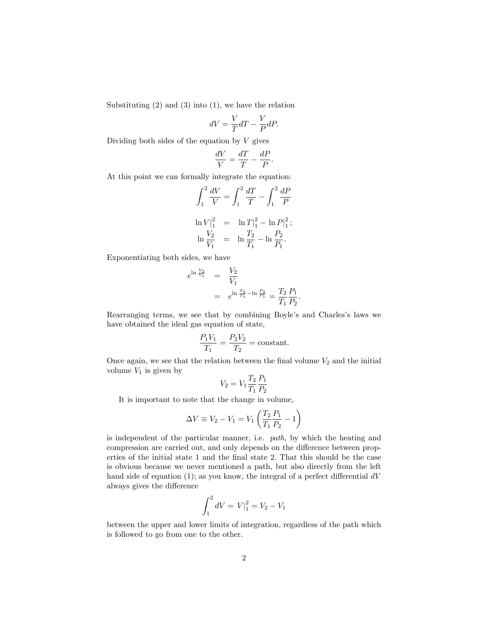Substituting  $(2)$  and  $(3)$  into  $(1)$ , we have the relation

$$
dV = \frac{V}{T}dT - \frac{V}{P}dP.
$$

Dividing both sides of the equation by  $V$  gives

$$
\frac{dV}{V} = \frac{dT}{T} - \frac{dP}{P}.
$$

At this point we can formally integrate the equation:

$$
\int_{1}^{2} \frac{dV}{V} = \int_{1}^{2} \frac{dT}{T} - \int_{1}^{2} \frac{dP}{P}
$$
  
\n
$$
\ln V|_{1}^{2} = \ln T|_{1}^{2} - \ln P|_{1}^{2};
$$
  
\n
$$
\ln \frac{V_{2}}{V_{1}} = \ln \frac{T_{2}}{T_{1}} - \ln \frac{P_{2}}{P_{1}}.
$$

Exponentiating both sides, we have

$$
e^{\ln \frac{V_2}{V_1}} = \frac{V_2}{V_1}
$$
  
=  $e^{\ln \frac{T_2}{T_1} - \ln \frac{P_2}{P_1}} = \frac{T_2}{T_1} \frac{P_1}{P_2}.$ 

Rearranging terms, we see that by combining Boyle's and Charles's laws we have obtained the ideal gas equation of state,

$$
\frac{P_1V_1}{T_1} = \frac{P_2V_2}{T_2} = \text{constant}.
$$

Once again, we see that the relation between the final volume  $V_2$  and the initial volume  $V_1$  is given by

$$
V_2 = V_1 \frac{T_2}{T_1} \frac{P_1}{P_2}
$$

It is important to note that the change in volume,

$$
\Delta V \equiv V_2 - V_1 = V_1 \left( \frac{T_2}{T_1} \frac{P_1}{P_2} - 1 \right)
$$

is independent of the particular manner, i.e. path, by which the heating and compression are carried out, and only depends on the difference between properties of the initial state 1 and the final state 2. That this should be the case is obvious because we never mentioned a path, but also directly from the left hand side of equation (1); as you know, the integral of a perfect differential  $dV$ always gives the difference

$$
\int_{1}^{2} dV = V|_{1}^{2} = V_{2} - V_{1}
$$

between the upper and lower limits of integration, regardless of the path which is followed to go from one to the other.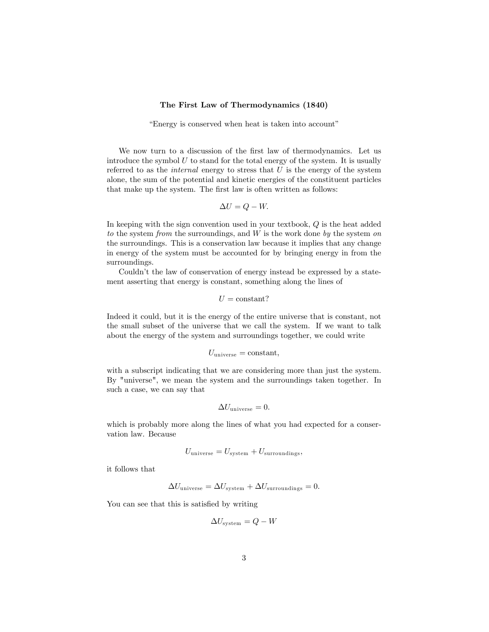## The First Law of Thermodynamics (1840)

"Energy is conserved when heat is taken into account"

We now turn to a discussion of the first law of thermodynamics. Let us introduce the symbol  $U$  to stand for the total energy of the system. It is usually referred to as the *internal* energy to stress that  $U$  is the energy of the system alone, the sum of the potential and kinetic energies of the constituent particles that make up the system. The first law is often written as follows:

$$
\Delta U = Q - W.
$$

In keeping with the sign convention used in your textbook, Q is the heat added to the system from the surroundings, and  $W$  is the work done by the system on the surroundings. This is a conservation law because it implies that any change in energy of the system must be accounted for by bringing energy in from the surroundings.

Couldn't the law of conservation of energy instead be expressed by a statement asserting that energy is constant, something along the lines of

$$
U = \text{constant}?
$$

Indeed it could, but it is the energy of the entire universe that is constant, not the small subset of the universe that we call the system. If we want to talk about the energy of the system and surroundings together, we could write

$$
U_{\rm universe}={\rm constant},
$$

with a subscript indicating that we are considering more than just the system. By "universe", we mean the system and the surroundings taken together. In such a case, we can say that

$$
\Delta U_{\text{universe}} = 0.
$$

which is probably more along the lines of what you had expected for a conservation law. Because

$$
U_{\text{universe}} = U_{\text{system}} + U_{\text{surroundings}},
$$

it follows that

$$
\Delta U_{\rm universe} = \Delta U_{\rm system} + \Delta U_{\rm surrounding} = 0.
$$

You can see that this is satisfied by writing

$$
\Delta U_{\rm system} = Q - W
$$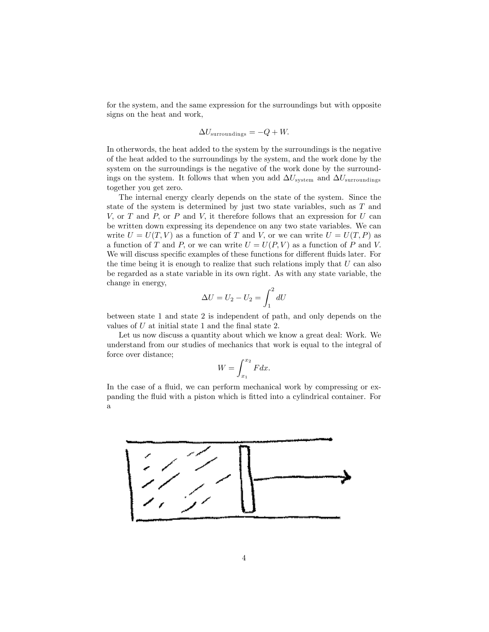for the system, and the same expression for the surroundings but with opposite signs on the heat and work,

$$
\Delta U_{\rm surroundings} = -Q + W.
$$

In otherwords, the heat added to the system by the surroundings is the negative of the heat added to the surroundings by the system, and the work done by the system on the surroundings is the negative of the work done by the surroundings on the system. It follows that when you add  $\Delta U_{\text{system}}$  and  $\Delta U_{\text{surroundings}}$ together you get zero.

The internal energy clearly depends on the state of the system. Since the state of the system is determined by just two state variables, such as T and V, or T and P, or P and V, it therefore follows that an expression for U can be written down expressing its dependence on any two state variables. We can write  $U = U(T, V)$  as a function of T and V, or we can write  $U = U(T, P)$  as a function of T and P, or we can write  $U = U(P, V)$  as a function of P and V. We will discuss specific examples of these functions for different fluids later. For the time being it is enough to realize that such relations imply that  $U$  can also be regarded as a state variable in its own right. As with any state variable, the change in energy,

$$
\Delta U = U_2 - U_2 = \int_1^2 dU
$$

between state 1 and state 2 is independent of path, and only depends on the values of  $U$  at initial state 1 and the final state 2.

Let us now discuss a quantity about which we know a great deal: Work. We understand from our studies of mechanics that work is equal to the integral of force over distance;

$$
W = \int_{x_1}^{x_2} F dx.
$$

In the case of a fluid, we can perform mechanical work by compressing or expanding the fluid with a piston which is fitted into a cylindrical container. For a

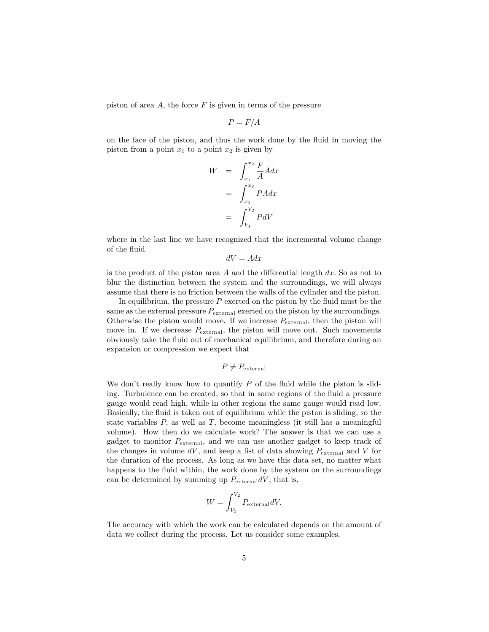piston of area  $A$ , the force  $F$  is given in terms of the pressure

$$
P = F/A
$$

on the face of the piston, and thus the work done by the fluid in moving the piston from a point  $x_1$  to a point  $x_2$  is given by

$$
W = \int_{x_1}^{x_2} \frac{F}{A} A dx
$$

$$
= \int_{x_1}^{x_2} P A dx
$$

$$
= \int_{V_1}^{V_2} P dV
$$

where in the last line we have recognized that the incremental volume change of the fluid

$$
dV = A dx
$$

is the product of the piston area  $A$  and the differential length  $dx$ . So as not to blur the distinction between the system and the surroundings, we will always assume that there is no friction between the walls of the cylinder and the piston.

In equilibrium, the pressure  $P$  exerted on the piston by the fluid must be the same as the external pressure  $P_{\text{external}}$  exerted on the piston by the surroundings. Otherwise the piston would move. If we increase  $P_{\text{external}}$ , then the piston will move in. If we decrease  $P_{\text{external}}$ , the piston will move out. Such movements obviously take the fluid out of mechanical equilibrium, and therefore during an expansion or compression we expect that

$$
P \neq P_{\text{external}}
$$

We don't really know how to quantify  $P$  of the fluid while the piston is sliding. Turbulence can be created, so that in some regions of the fluid a pressure gauge would read high, while in other regions the same gauge would read low. Basically, the fluid is taken out of equilibrium while the piston is sliding, so the state variables  $P$ , as well as  $T$ , become meaningless (it still has a meaningful volume). How then do we calculate work? The answer is that we can use a gadget to monitor  $P_{\text{external}}$ , and we can use another gadget to keep track of the changes in volume  $dV$ , and keep a list of data showing  $P_{\text{external}}$  and V for the duration of the process. As long as we have this data set, no matter what happens to the fluid within, the work done by the system on the surroundings can be determined by summing up  $P_{\text{external}}dV$ , that is,

$$
W = \int_{V_1}^{V_2} P_{\text{external}} dV.
$$

The accuracy with which the work can be calculated depends on the amount of data we collect during the process. Let us consider some examples.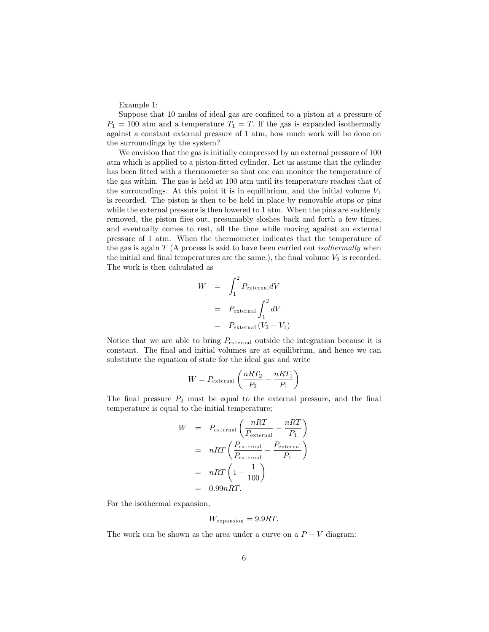Example 1:

Suppose that 10 moles of ideal gas are confined to a piston at a pressure of  $P_1 = 100$  atm and a temperature  $T_1 = T$ . If the gas is expanded isothermally against a constant external pressure of 1 atm, how much work will be done on the surroundings by the system?

We envision that the gas is initially compressed by an external pressure of 100 atm which is applied to a piston-fitted cylinder. Let us assume that the cylinder has been fitted with a thermometer so that one can monitor the temperature of the gas within. The gas is held at 100 atm until its temperature reaches that of the surroundings. At this point it is in equilibrium, and the initial volume  $V_1$ is recorded. The piston is then to be held in place by removable stops or pins while the external pressure is then lowered to 1 atm. When the pins are suddenly removed, the piston flies out, presumably sloshes back and forth a few times, and eventually comes to rest, all the time while moving against an external pressure of 1 atm. When the thermometer indicates that the temperature of the gas is again  $T(A)$  process is said to have been carried out *isothermally* when the initial and final temperatures are the same.), the final volume  $V_2$  is recorded. The work is then calculated as

$$
W = \int_{1}^{2} P_{\text{external}} dV
$$
  
=  $P_{\text{external}} \int_{1}^{2} dV$   
=  $P_{\text{external}} (V_2 - V_1)$ 

Notice that we are able to bring  $P_{\text{external}}$  outside the integration because it is constant. The final and initial volumes are at equilibrium, and hence we can substitute the equation of state for the ideal gas and write

$$
W = P_{\text{external}} \left( \frac{nRT_2}{P_2} - \frac{nRT_1}{P_1} \right)
$$

The final pressure  $P_2$  must be equal to the external pressure, and the final temperature is equal to the initial temperature;

$$
W = P_{\text{external}} \left( \frac{nRT}{P_{\text{external}}} - \frac{nRT}{P_1} \right)
$$
  
=  $nRT \left( \frac{P_{\text{external}}}{P_{\text{external}}} - \frac{P_{\text{external}}}{P_1} \right)$   
=  $nRT \left( 1 - \frac{1}{100} \right)$   
= 0.99nRT.

For the isothermal expansion,

$$
W_{\text{expansion}} = 9.9RT.
$$

The work can be shown as the area under a curve on a  $P-V$  diagram: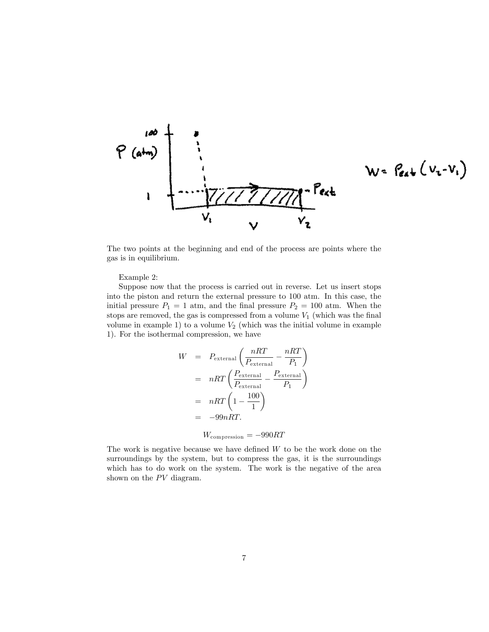

$$
W = \int_{\mathcal{C}4} \psi \left( V_{i} - V_{i} \right)
$$

The two points at the beginning and end of the process are points where the gas is in equilibrium.

# Example 2:

Suppose now that the process is carried out in reverse. Let us insert stops into the piston and return the external pressure to 100 atm. In this case, the initial pressure  $P_1 = 1$  atm, and the final pressure  $P_2 = 100$  atm. When the stops are removed, the gas is compressed from a volume  $V_1$  (which was the final volume in example 1) to a volume  $V_2$  (which was the initial volume in example 1). For the isothermal compression, we have

$$
W = P_{\text{external}} \left( \frac{nRT}{P_{\text{external}}} - \frac{nRT}{P_1} \right)
$$
  
=  $nRT \left( \frac{P_{\text{external}}}{P_{\text{external}}} - \frac{P_{\text{external}}}{P_1} \right)$   
=  $nRT \left( 1 - \frac{100}{1} \right)$   
=  $-99nRT$ .

 $W_{\text{compression}} = -990RT$ 

The work is negative because we have defined  $W$  to be the work done on the surroundings by the system, but to compress the gas, it is the surroundings which has to do work on the system. The work is the negative of the area shown on the  $PV$  diagram.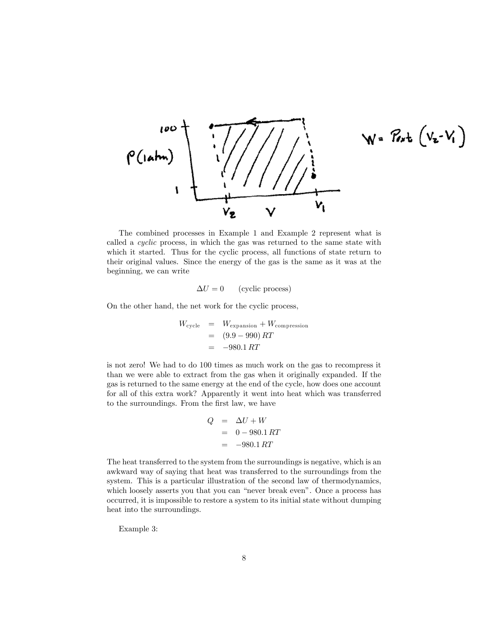

$$
W = P_{\nu}t_{\nu} (v_{\nu} - V_{\nu})
$$

The combined processes in Example 1 and Example 2 represent what is called a cyclic process, in which the gas was returned to the same state with which it started. Thus for the cyclic process, all functions of state return to their original values. Since the energy of the gas is the same as it was at the beginning, we can write

$$
\Delta U = 0 \qquad \text{(cyclic process)}
$$

On the other hand, the net work for the cyclic process,

$$
W_{\text{cycle}} = W_{\text{expansion}} + W_{\text{compression}}
$$
  
= (9.9 - 990) RT  
= -980.1 RT

is not zero! We had to do 100 times as much work on the gas to recompress it than we were able to extract from the gas when it originally expanded. If the gas is returned to the same energy at the end of the cycle, how does one account for all of this extra work? Apparently it went into heat which was transferred to the surroundings. From the first law, we have

$$
Q = \Delta U + W
$$
  
= 0 - 980.1 RT  
= -980.1 RT

The heat transferred to the system from the surroundings is negative, which is an awkward way of saying that heat was transferred to the surroundings from the system. This is a particular illustration of the second law of thermodynamics, which loosely asserts you that you can "never break even". Once a process has occurred, it is impossible to restore a system to its initial state without dumping heat into the surroundings.

Example 3: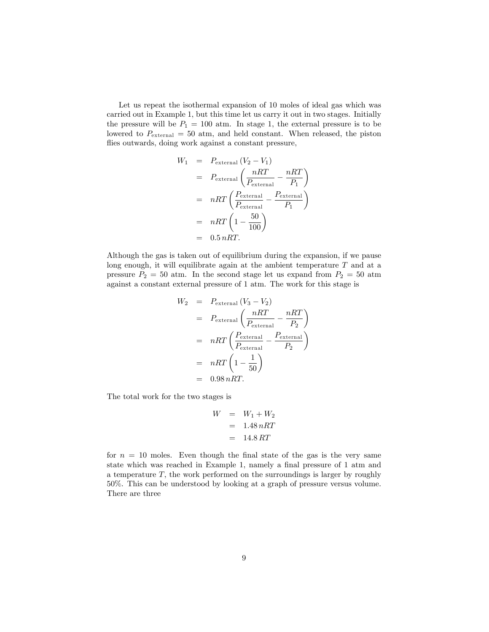Let us repeat the isothermal expansion of 10 moles of ideal gas which was carried out in Example 1, but this time let us carry it out in two stages. Initially the pressure will be  $P_1 = 100$  atm. In stage 1, the external pressure is to be lowered to  $P_{\text{external}} = 50$  atm, and held constant. When released, the piston flies outwards, doing work against a constant pressure,

$$
W_1 = P_{\text{external}} (V_2 - V_1)
$$
  
=  $P_{\text{external}} \left( \frac{nRT}{P_{\text{external}}} - \frac{nRT}{P_1} \right)$   
=  $nRT \left( \frac{P_{\text{external}}}{P_{\text{external}}} - \frac{P_{\text{external}}}{P_1} \right)$   
=  $nRT \left( 1 - \frac{50}{100} \right)$   
= 0.5  $nRT$ .

Although the gas is taken out of equilibrium during the expansion, if we pause long enough, it will equilibrate again at the ambient temperature  $T$  and at a pressure  $P_2 = 50$  atm. In the second stage let us expand from  $P_2 = 50$  atm against a constant external pressure of 1 atm. The work for this stage is

$$
W_2 = P_{\text{external}} (V_3 - V_2)
$$
  
=  $P_{\text{external}} \left( \frac{nRT}{P_{\text{external}}} - \frac{nRT}{P_2} \right)$   
=  $nRT \left( \frac{P_{\text{external}}}{P_{\text{external}}} - \frac{P_{\text{external}}}{P_2} \right)$   
=  $nRT \left( 1 - \frac{1}{50} \right)$   
= 0.98  $nRT$ .

The total work for the two stages is

$$
W = W_1 + W_2
$$

$$
= 1.48 nRT
$$

$$
= 14.8 RT
$$

for  $n = 10$  moles. Even though the final state of the gas is the very same state which was reached in Example 1, namely a final pressure of 1 atm and a temperature  $T$ , the work performed on the surroundings is larger by roughly 50%. This can be understood by looking at a graph of pressure versus volume. There are three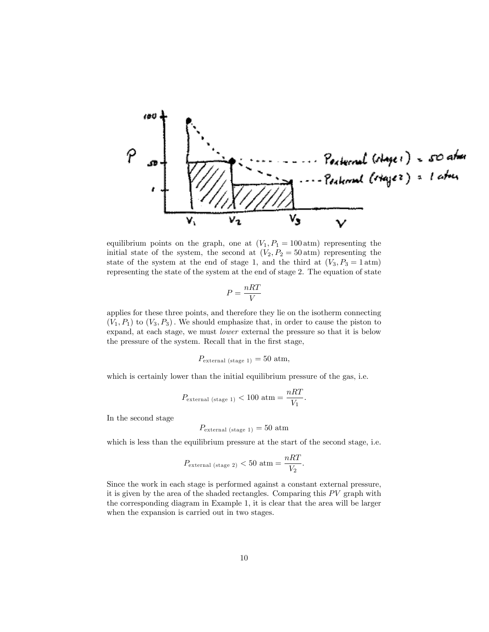

equilibrium points on the graph, one at  $(V_1, P_1 = 100 \text{ atm})$  representing the initial state of the system, the second at  $(V_2, P_2 = 50 \text{ atm})$  representing the state of the system at the end of stage 1, and the third at  $(V_3, P_3 = 1 \text{ atm})$ representing the state of the system at the end of stage 2. The equation of state

$$
P = \frac{nRT}{V}
$$

applies for these three points, and therefore they lie on the isotherm connecting  $(V_1, P_1)$  to  $(V_3, P_3)$ . We should emphasize that, in order to cause the piston to expand, at each stage, we must lower external the pressure so that it is below the pressure of the system. Recall that in the first stage,

$$
P_{\text{external (stage 1)}} = 50 \text{ atm},
$$

which is certainly lower than the initial equilibrium pressure of the gas, i.e.

$$
P_{\text{external (stage 1)}} < 100 \text{ atm} = \frac{nRT}{V_1}.
$$

In the second stage

$$
P_{\text{external (stage 1)}} = 50 \text{ atm}
$$

which is less than the equilibrium pressure at the start of the second stage, i.e.

$$
P_{\text{external (stage 2)}} < 50 \text{ atm} = \frac{nRT}{V_2}.
$$

Since the work in each stage is performed against a constant external pressure, it is given by the area of the shaded rectangles. Comparing this  $PV$  graph with the corresponding diagram in Example 1, it is clear that the area will be larger when the expansion is carried out in two stages.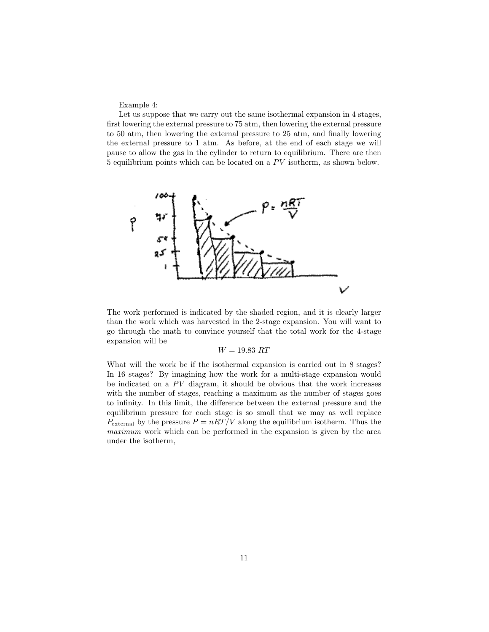Example 4:

Let us suppose that we carry out the same isothermal expansion in 4 stages, first lowering the external pressure to 75 atm, then lowering the external pressure to 50 atm, then lowering the external pressure to 25 atm, and finally lowering the external pressure to 1 atm. As before, at the end of each stage we will pause to allow the gas in the cylinder to return to equilibrium. There are then 5 equilibrium points which can be located on a  $PV$  isotherm, as shown below.



The work performed is indicated by the shaded region, and it is clearly larger than the work which was harvested in the 2-stage expansion. You will want to go through the math to convince yourself that the total work for the 4-stage expansion will be

## $W = 19.83 RT$

What will the work be if the isothermal expansion is carried out in 8 stages? In 16 stages? By imagining how the work for a multi-stage expansion would be indicated on a  $PV$  diagram, it should be obvious that the work increases with the number of stages, reaching a maximum as the number of stages goes to infinity. In this limit, the difference between the external pressure and the equilibrium pressure for each stage is so small that we may as well replace  $P_{\text{external}}$  by the pressure  $P = nRT/V$  along the equilibrium isotherm. Thus the maximum work which can be performed in the expansion is given by the area under the isotherm,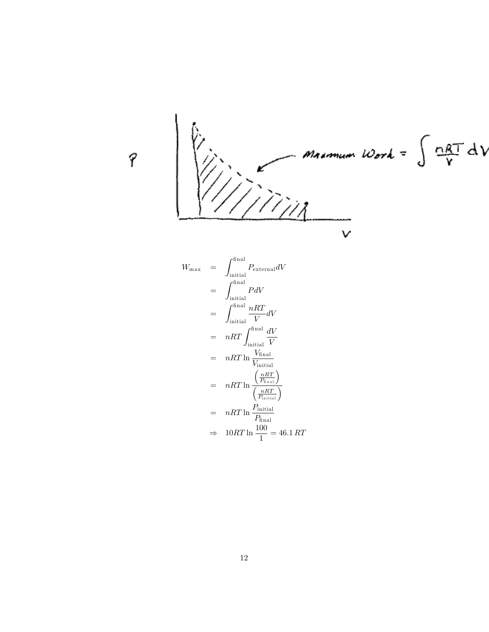

$$
W_{\text{max}} = \int_{\text{initial}}^{\text{final}} P_{\text{external}} dV
$$
  
\n
$$
= \int_{\text{initial}}^{\text{final}} P dV
$$
  
\n
$$
= \int_{\text{initial}}^{\text{final}} \frac{nRT}{V} dV
$$
  
\n
$$
= nRT \int_{\text{initial}}^{\text{final}} \frac{dV}{V}
$$
  
\n
$$
= nRT \ln \frac{V_{\text{final}}}{V_{\text{initial}}}
$$
  
\n
$$
= nRT \ln \frac{(\frac{nRT}{P_{\text{final}}})}{(\frac{nRT}{P_{\text{initial}}})}
$$
  
\n
$$
= nRT \ln \frac{P_{\text{initial}}}{P_{\text{final}}}
$$
  
\n
$$
\Rightarrow 10RT \ln \frac{100}{1} = 46.1 RT
$$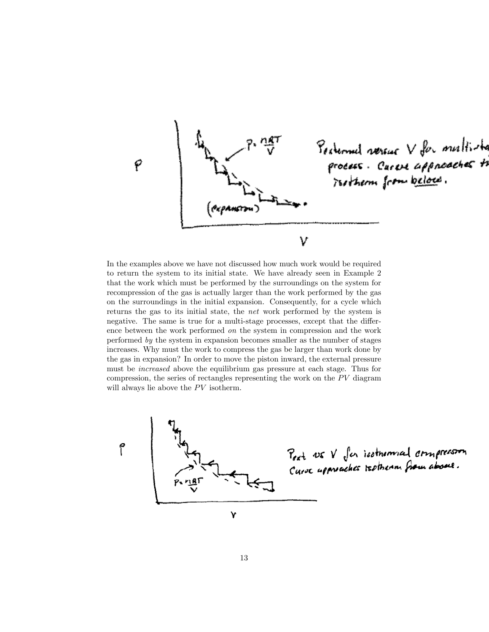

In the examples above we have not discussed how much work would be required to return the system to its initial state. We have already seen in Example 2 that the work which must be performed by the surroundings on the system for recompression of the gas is actually larger than the work performed by the gas on the surroundings in the initial expansion. Consequently, for a cycle which returns the gas to its initial state, the net work performed by the system is negative. The same is true for a multi-stage processes, except that the difference between the work performed on the system in compression and the work performed by the system in expansion becomes smaller as the number of stages increases. Why must the work to compress the gas be larger than work done by the gas in expansion? In order to move the piston inward, the external pressure must be increased above the equilibrium gas pressure at each stage. Thus for compression, the series of rectangles representing the work on the  $PV$  diagram will always lie above the  $PV$  isotherm.

۴



Pext DE V for isothermal armprossion

Ý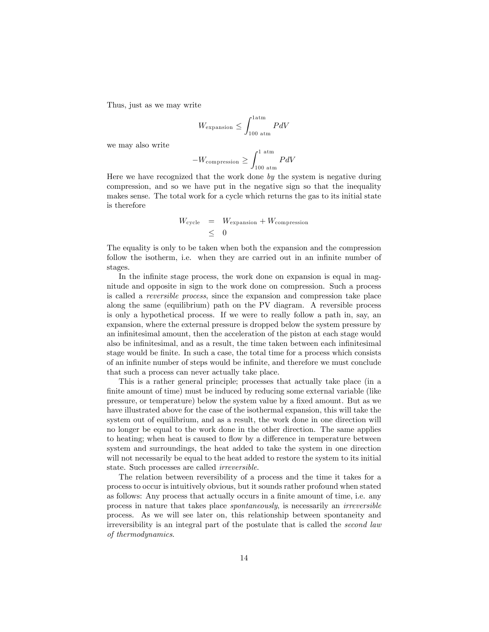Thus, just as we may write

$$
W_{\rm expansion} \leq \int_{100~{\rm atm}}^{1 {\rm atm}} P dV
$$

we may also write

$$
-W_{\text{compression}} \ge \int_{100 \text{ atm}}^{1 \text{ atm}} P dV
$$

Here we have recognized that the work done by the system is negative during compression, and so we have put in the negative sign so that the inequality makes sense. The total work for a cycle which returns the gas to its initial state is therefore

$$
W_{\text{cycle}} = W_{\text{expansion}} + W_{\text{compression}}
$$
  

$$
\leq 0
$$

The equality is only to be taken when both the expansion and the compression follow the isotherm, i.e. when they are carried out in an infinite number of stages.

In the infinite stage process, the work done on expansion is equal in magnitude and opposite in sign to the work done on compression. Such a process is called a reversible process, since the expansion and compression take place along the same (equilibrium) path on the PV diagram. A reversible process is only a hypothetical process. If we were to really follow a path in, say, an expansion, where the external pressure is dropped below the system pressure by an infinitesimal amount, then the acceleration of the piston at each stage would also be infinitesimal, and as a result, the time taken between each infinitesimal stage would be finite. In such a case, the total time for a process which consists of an inÖnite number of steps would be inÖnite, and therefore we must conclude that such a process can never actually take place.

This is a rather general principle; processes that actually take place (in a finite amount of time) must be induced by reducing some external variable (like pressure, or temperature) below the system value by a Öxed amount. But as we have illustrated above for the case of the isothermal expansion, this will take the system out of equilibrium, and as a result, the work done in one direction will no longer be equal to the work done in the other direction. The same applies to heating; when heat is caused to flow by a difference in temperature between system and surroundings, the heat added to take the system in one direction will not necessarily be equal to the heat added to restore the system to its initial state. Such processes are called irreversible.

The relation between reversibility of a process and the time it takes for a process to occur is intuitively obvious, but it sounds rather profound when stated as follows: Any process that actually occurs in a finite amount of time, i.e. any process in nature that takes place spontaneously, is necessarily an irreversible process. As we will see later on, this relationship between spontaneity and irreversibility is an integral part of the postulate that is called the second law of thermodynamics.